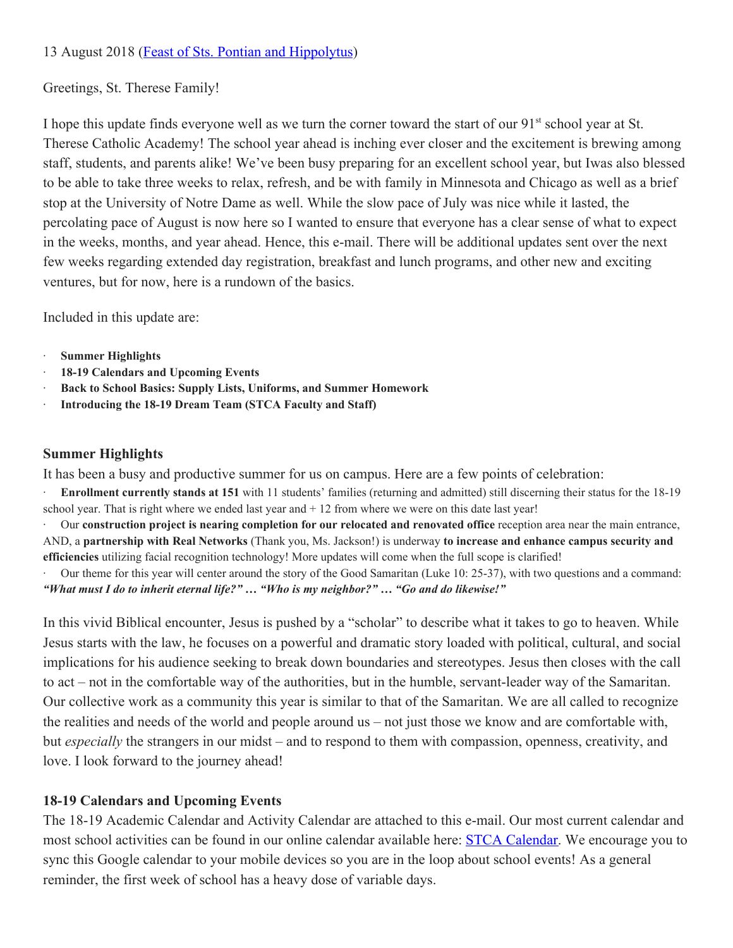# 13 August 2018 (**[Feast of Sts. Pontian and Hippolytus](http://faith.nd.edu/s/1210/faith/start.aspx?gid=609&pgid=61)**)

# Greetings, St. Therese Family!

I hope this update finds everyone well as we turn the corner toward the start of our 91<sup>st</sup> school year at St. Therese Catholic Academy! The school year ahead is inching ever closer and the excitement is brewing among staff, students, and parents alike! We've been busy preparing for an excellent school year, but Iwas also blessed to be able to take three weeks to relax, refresh, and be with family in Minnesota and Chicago as well as a brief stop at the University of Notre Dame as well. While the slow pace of July was nice while it lasted, the percolating pace of August is now here so I wanted to ensure that everyone has a clear sense of what to expect in the weeks, months, and year ahead. Hence, this e-mail. There will be additional updates sent over the next few weeks regarding extended day registration, breakfast and lunch programs, and other new and exciting ventures, but for now, here is a rundown of the basics.

Included in this update are:

- · **Summer Highlights**
- · **18-19 Calendars and Upcoming Events**
- · **Back to School Basics: Supply Lists, Uniforms, and Summer Homework**
- · **Introducing the 18-19 Dream Team (STCA Faculty and Staff)**

## **Summer Highlights**

It has been a busy and productive summer for us on campus. Here are a few points of celebration:

· **Enrollment currently stands at 151** with 11 students' families (returning and admitted) still discerning their status for the 18-19 school year. That is right where we ended last year and + 12 from where we were on this date last year!

· Our **construction project is nearing completion for our relocated and renovated office** reception area near the main entrance, AND, a **partnership with Real Networks** (Thank you, Ms. Jackson!) is underway **to increase and enhance campus security and efficiencies** utilizing facial recognition technology! More updates will come when the full scope is clarified!

· Our theme for this year will center around the story of the Good Samaritan (Luke 10: 25-37), with two questions and a command: *"What must I do to inherit eternal life?" … "Who is my neighbor?" … "Go and do likewise!"*

In this vivid Biblical encounter, Jesus is pushed by a "scholar" to describe what it takes to go to heaven. While Jesus starts with the law, he focuses on a powerful and dramatic story loaded with political, cultural, and social implications for his audience seeking to break down boundaries and stereotypes. Jesus then closes with the call to act – not in the comfortable way of the authorities, but in the humble, servant-leader way of the Samaritan. Our collective work as a community this year is similar to that of the Samaritan. We are all called to recognize the realities and needs of the world and people around us – not just those we know and are comfortable with, but *especially* the strangers in our midst – and to respond to them with compassion, openness, creativity, and love. I look forward to the journey ahead!

# **18-19 Calendars and Upcoming Events**

The 18-19 Academic Calendar and Activity Calendar are attached to this e-mail. Our most current calendar and most school activities can be found in our online calendar available here: [STCA Calendar](https://www.stcaseattle.org/calendar). We encourage you to sync this Google calendar to your mobile devices so you are in the loop about school events! As a general reminder, the first week of school has a heavy dose of variable days.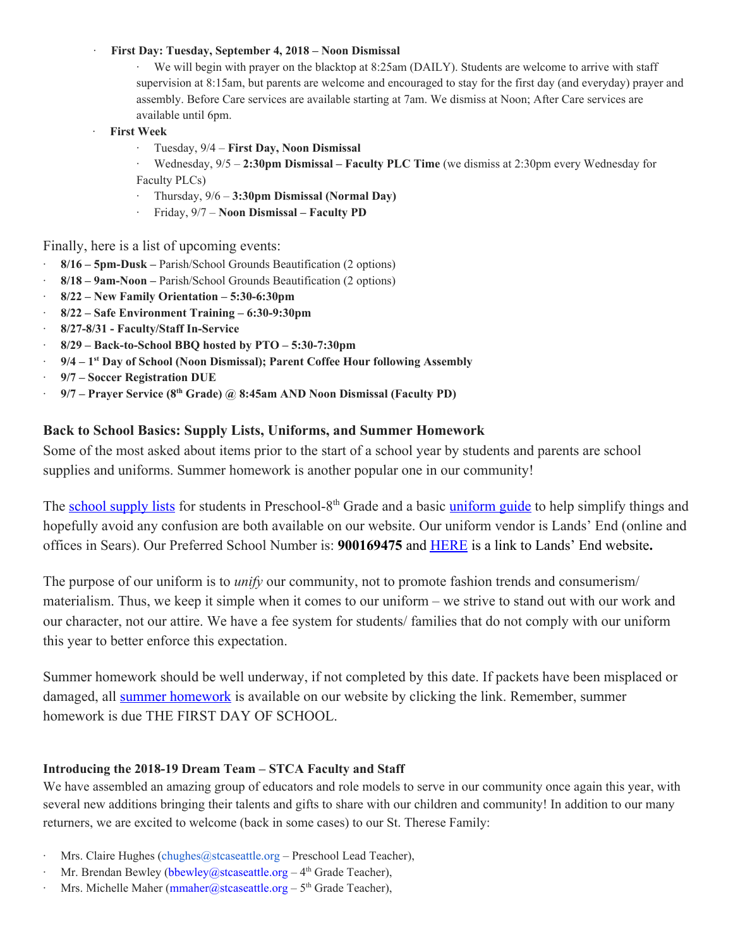#### · **First Day: Tuesday, September 4, 2018 – Noon Dismissal**

· We will begin with prayer on the blacktop at 8:25am (DAILY). Students are welcome to arrive with staff supervision at 8:15am, but parents are welcome and encouraged to stay for the first day (and everyday) prayer and assembly. Before Care services are available starting at 7am. We dismiss at Noon; After Care services are available until 6pm.

- · **First Week**
	- · Tuesday, 9/4 **First Day, Noon Dismissal**

· Wednesday, 9/5 – **2:30pm Dismissal – Faculty PLC Time** (we dismiss at 2:30pm every Wednesday for Faculty PLCs)

- · Thursday, 9/6 **3:30pm Dismissal (Normal Day)**
- · Friday, 9/7 **Noon Dismissal – Faculty PD**

### Finally, here is a list of upcoming events:

- · **8/16 – 5pm-Dusk –** Parish/School Grounds Beautification (2 options)
- · **8/18 – 9am-Noon –** Parish/School Grounds Beautification (2 options)
- · **8/22 – New Family Orientation – 5:30-6:30pm**
- · **8/22 – Safe Environment Training – 6:30-9:30pm**
- · **8/27-8/31 - Faculty/Staff In-Service**
- · **8/29 – Back-to-School BBQ hosted by PTO – 5:30-7:30pm**
- · **9/4 – 1 st Day of School (Noon Dismissal); Parent Coffee Hour following Assembly**
- · **9/7 – Soccer Registration DUE**
- · **9/7 – Prayer Service (8 th Grade) @ 8:45am AND Noon Dismissal (Faculty PD)**

### **Back to School Basics: Supply Lists, Uniforms, and Summer Homework**

Some of the most asked about items prior to the start of a school year by students and parents are school supplies and uniforms. Summer homework is another popular one in our community!

The [school supply lists](https://docs.wixstatic.com/ugd/656f03_67bd5b56bad0477f90408951d18897db.pdf) for students in Preschool-8<sup>th</sup> Grade and a basic [uniform guide](https://www.stcaseattle.org/uniforms) to help simplify things and hopefully avoid any confusion are both available on our website. Our uniform vendor is Lands' End (online and offices in Sears). Our Preferred School Number is: **900169475** and [HERE](https://www.landsend.com/co/account/school-uniforms) is a link to Lands' End website**.**

The purpose of our uniform is to *unify* our community, not to promote fashion trends and consumerism/ materialism. Thus, we keep it simple when it comes to our uniform – we strive to stand out with our work and our character, not our attire. We have a fee system for students/ families that do not comply with our uniform this year to better enforce this expectation.

Summer homework should be well underway, if not completed by this date. If packets have been misplaced or damaged, all [summer homework](https://www.stcaseattle.org/summerhomework18) is available on our website by clicking the link. Remember, summer homework is due THE FIRST DAY OF SCHOOL.

### **Introducing the 2018-19 Dream Team – STCA Faculty and Staff**

We have assembled an amazing group of educators and role models to serve in our community once again this year, with several new additions bringing their talents and gifts to share with our children and community! In addition to our many returners, we are excited to welcome (back in some cases) to our St. Therese Family:

- · Mrs. Claire Hughes (chughes@stcaseattle.org Preschool Lead Teacher),
- Mr. Brendan Bewley (bbewley@stcaseattle.org  $-4<sup>th</sup>$  Grade Teacher),
- **Mrs. Michelle Maher (mmaher@stcaseattle.org 5<sup>th</sup> Grade Teacher),**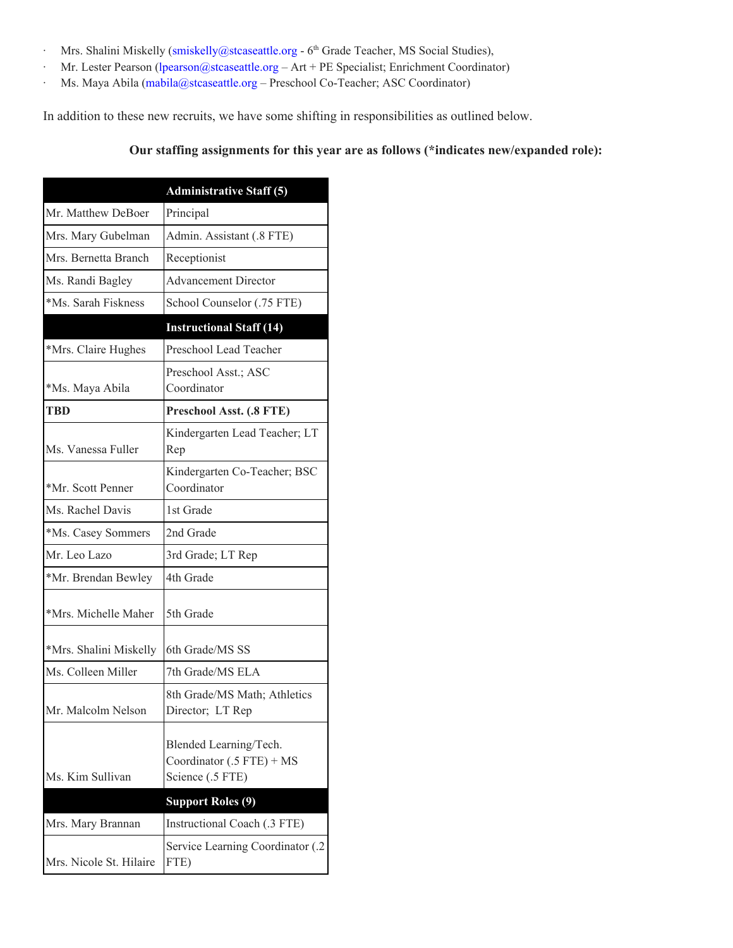- $·$  Mrs. Shalini Miskelly (smiskelly@stcaseattle.org  $6<sup>th</sup>$  Grade Teacher, MS Social Studies),
- · Mr. Lester Pearson (lpearson@stcaseattle.org Art + PE Specialist; Enrichment Coordinator)
- · Ms. Maya Abila (mabila@stcaseattle.org Preschool Co-Teacher; ASC Coordinator)

In addition to these new recruits, we have some shifting in responsibilities as outlined below.

## **Our staffing assignments for this year are as follows (\*indicates new/expanded role):**

|                         | <b>Administrative Staff (5)</b>                                           |
|-------------------------|---------------------------------------------------------------------------|
| Mr. Matthew DeBoer      | Principal                                                                 |
| Mrs. Mary Gubelman      | Admin. Assistant (.8 FTE)                                                 |
| Mrs. Bernetta Branch    | Receptionist                                                              |
| Ms. Randi Bagley        | <b>Advancement Director</b>                                               |
| *Ms. Sarah Fiskness     | School Counselor (.75 FTE)                                                |
|                         | <b>Instructional Staff (14)</b>                                           |
| *Mrs. Claire Hughes     | Preschool Lead Teacher                                                    |
| *Ms. Maya Abila         | Preschool Asst.; ASC<br>Coordinator                                       |
| TBD                     | Preschool Asst. (.8 FTE)                                                  |
| Ms. Vanessa Fuller      | Kindergarten Lead Teacher; LT<br>Rep                                      |
| *Mr. Scott Penner       | Kindergarten Co-Teacher; BSC<br>Coordinator                               |
| Ms. Rachel Davis        | 1st Grade                                                                 |
| *Ms. Casey Sommers      | 2nd Grade                                                                 |
| Mr. Leo Lazo            | 3rd Grade; LT Rep                                                         |
| *Mr. Brendan Bewley     | 4th Grade                                                                 |
| *Mrs. Michelle Maher    | 5th Grade                                                                 |
| *Mrs. Shalini Miskelly  | 6th Grade/MS SS                                                           |
| Ms. Colleen Miller      | 7th Grade/MS ELA                                                          |
| Mr. Malcolm Nelson      | 8th Grade/MS Math; Athletics<br>Director; LT Rep                          |
| Ms. Kim Sullivan        | Blended Learning/Tech.<br>Coordinator $(.5$ FTE) + MS<br>Science (.5 FTE) |
|                         | <b>Support Roles (9)</b>                                                  |
| Mrs. Mary Brannan       | Instructional Coach (.3 FTE)                                              |
| Mrs. Nicole St. Hilaire | Service Learning Coordinator (.2<br>FTE)                                  |